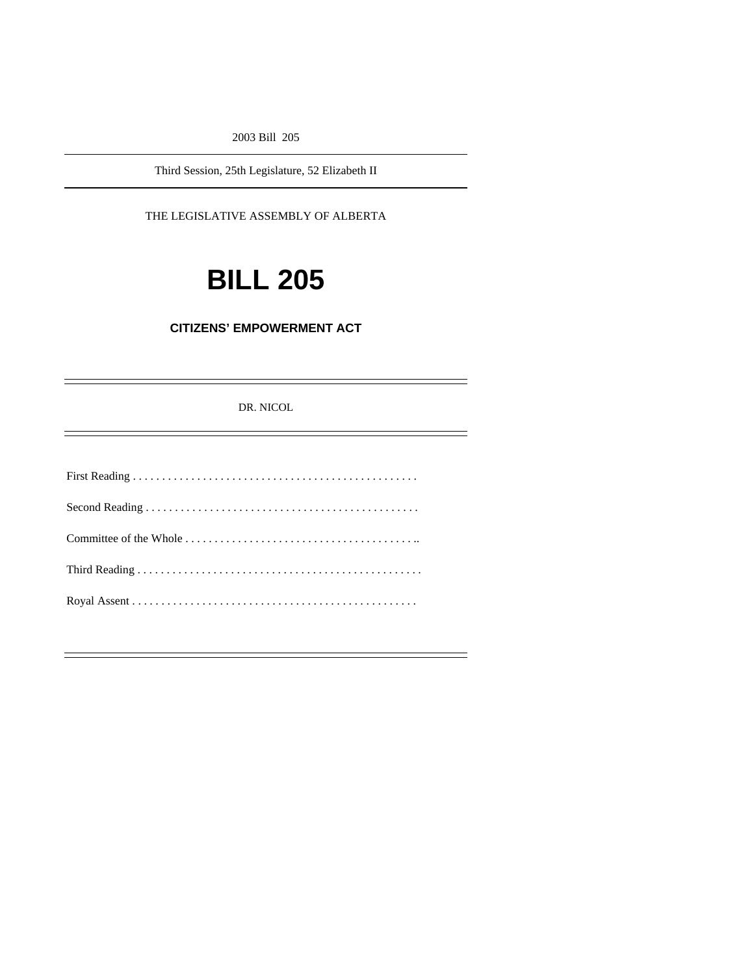2003 Bill 205

Third Session, 25th Legislature, 52 Elizabeth II

THE LEGISLATIVE ASSEMBLY OF ALBERTA

# **BILL 205**

## **CITIZENS' EMPOWERMENT ACT**

DR. NICOL

e<br>H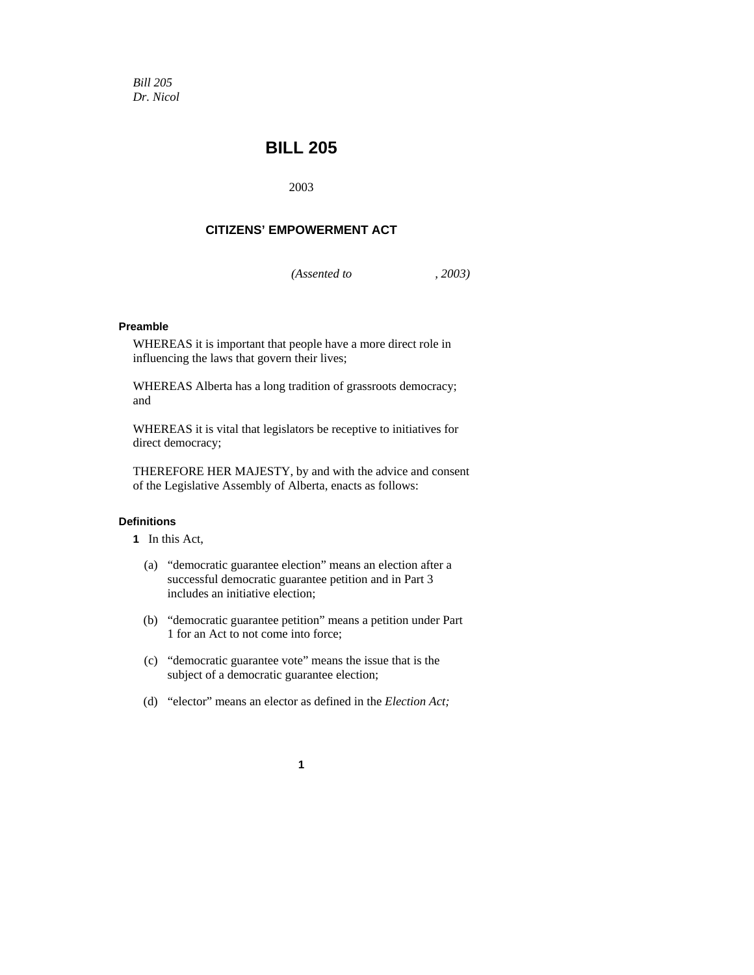*Bill 205 Dr. Nicol* 

## **BILL 205**

2003

## **CITIZENS' EMPOWERMENT ACT**

*(Assented to , 2003)* 

#### **Preamble**

WHEREAS it is important that people have a more direct role in influencing the laws that govern their lives;

WHEREAS Alberta has a long tradition of grassroots democracy; and

WHEREAS it is vital that legislators be receptive to initiatives for direct democracy;

THEREFORE HER MAJESTY, by and with the advice and consent of the Legislative Assembly of Alberta, enacts as follows:

## **Definitions**

**1** In this Act,

- (a) "democratic guarantee election" means an election after a successful democratic guarantee petition and in Part 3 includes an initiative election;
- (b) "democratic guarantee petition" means a petition under Part 1 for an Act to not come into force;
- (c) "democratic guarantee vote" means the issue that is the subject of a democratic guarantee election;
- (d) "elector" means an elector as defined in the *Election Act;* 
	- **1**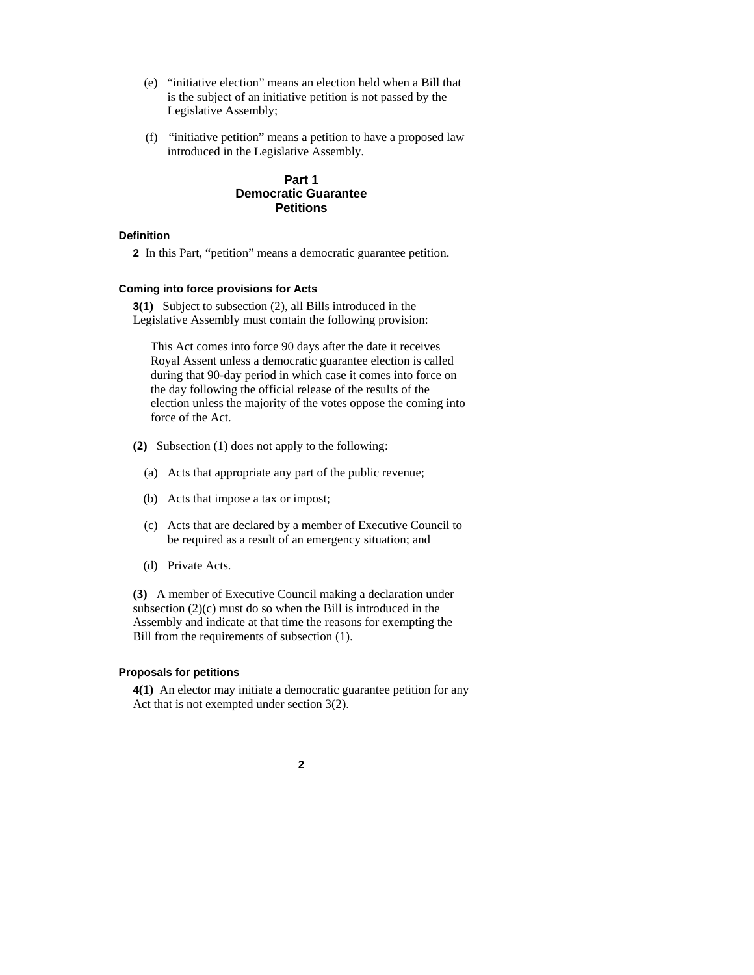- (e) "initiative election" means an election held when a Bill that is the subject of an initiative petition is not passed by the Legislative Assembly;
- (f) "initiative petition" means a petition to have a proposed law introduced in the Legislative Assembly.

## **Part 1 Democratic Guarantee Petitions**

#### **Definition**

**2** In this Part, "petition" means a democratic guarantee petition.

### **Coming into force provisions for Acts**

**3(1)** Subject to subsection (2), all Bills introduced in the Legislative Assembly must contain the following provision:

This Act comes into force 90 days after the date it receives Royal Assent unless a democratic guarantee election is called during that 90-day period in which case it comes into force on the day following the official release of the results of the election unless the majority of the votes oppose the coming into force of the Act.

- **(2)** Subsection (1) does not apply to the following:
	- (a) Acts that appropriate any part of the public revenue;
	- (b) Acts that impose a tax or impost;
	- (c) Acts that are declared by a member of Executive Council to be required as a result of an emergency situation; and
	- (d) Private Acts.

**(3)** A member of Executive Council making a declaration under subsection (2)(c) must do so when the Bill is introduced in the Assembly and indicate at that time the reasons for exempting the Bill from the requirements of subsection (1).

#### **Proposals for petitions**

**4(1)** An elector may initiate a democratic guarantee petition for any Act that is not exempted under section 3(2).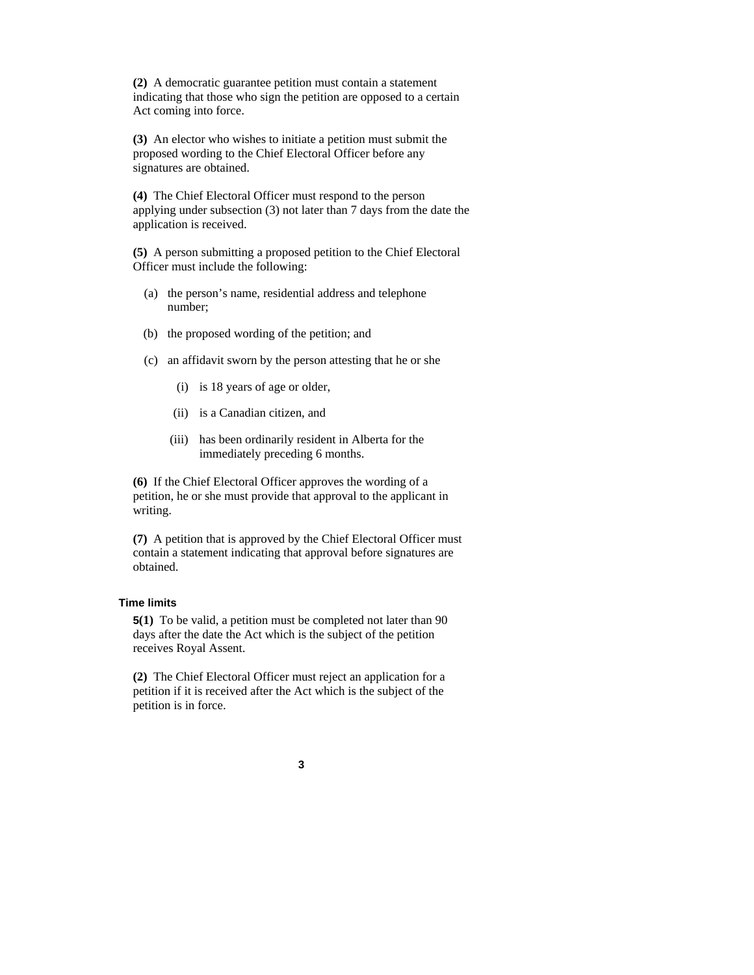**(2)** A democratic guarantee petition must contain a statement indicating that those who sign the petition are opposed to a certain Act coming into force.

**(3)** An elector who wishes to initiate a petition must submit the proposed wording to the Chief Electoral Officer before any signatures are obtained.

**(4)** The Chief Electoral Officer must respond to the person applying under subsection (3) not later than 7 days from the date the application is received.

**(5)** A person submitting a proposed petition to the Chief Electoral Officer must include the following:

- (a) the person's name, residential address and telephone number;
- (b) the proposed wording of the petition; and
- (c) an affidavit sworn by the person attesting that he or she
	- (i) is 18 years of age or older,
	- (ii) is a Canadian citizen, and
	- (iii) has been ordinarily resident in Alberta for the immediately preceding 6 months.

**(6)** If the Chief Electoral Officer approves the wording of a petition, he or she must provide that approval to the applicant in writing.

**(7)** A petition that is approved by the Chief Electoral Officer must contain a statement indicating that approval before signatures are obtained.

## **Time limits**

**5(1)** To be valid, a petition must be completed not later than 90 days after the date the Act which is the subject of the petition receives Royal Assent.

**(2)** The Chief Electoral Officer must reject an application for a petition if it is received after the Act which is the subject of the petition is in force.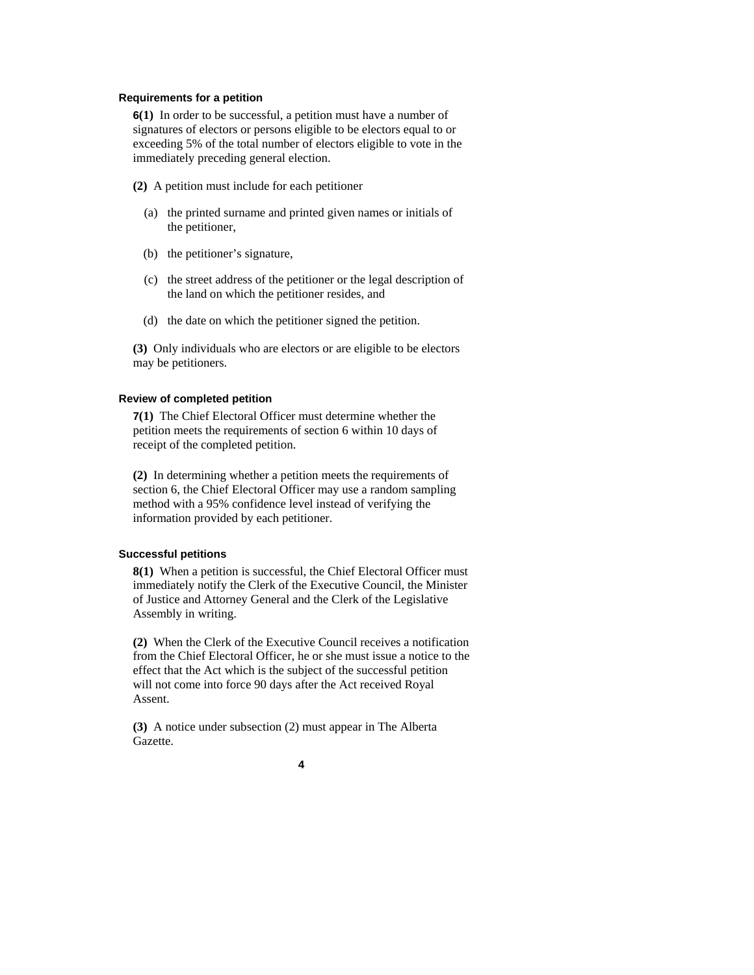#### **Requirements for a petition**

**6(1)** In order to be successful, a petition must have a number of signatures of electors or persons eligible to be electors equal to or exceeding 5% of the total number of electors eligible to vote in the immediately preceding general election.

- **(2)** A petition must include for each petitioner
	- (a) the printed surname and printed given names or initials of the petitioner,
	- (b) the petitioner's signature,
	- (c) the street address of the petitioner or the legal description of the land on which the petitioner resides, and
	- (d) the date on which the petitioner signed the petition.

**(3)** Only individuals who are electors or are eligible to be electors may be petitioners.

#### **Review of completed petition**

**7(1)** The Chief Electoral Officer must determine whether the petition meets the requirements of section 6 within 10 days of receipt of the completed petition.

**(2)** In determining whether a petition meets the requirements of section 6, the Chief Electoral Officer may use a random sampling method with a 95% confidence level instead of verifying the information provided by each petitioner.

#### **Successful petitions**

**8(1)** When a petition is successful, the Chief Electoral Officer must immediately notify the Clerk of the Executive Council, the Minister of Justice and Attorney General and the Clerk of the Legislative Assembly in writing.

**(2)** When the Clerk of the Executive Council receives a notification from the Chief Electoral Officer, he or she must issue a notice to the effect that the Act which is the subject of the successful petition will not come into force 90 days after the Act received Royal Assent.

**(3)** A notice under subsection (2) must appear in The Alberta Gazette.

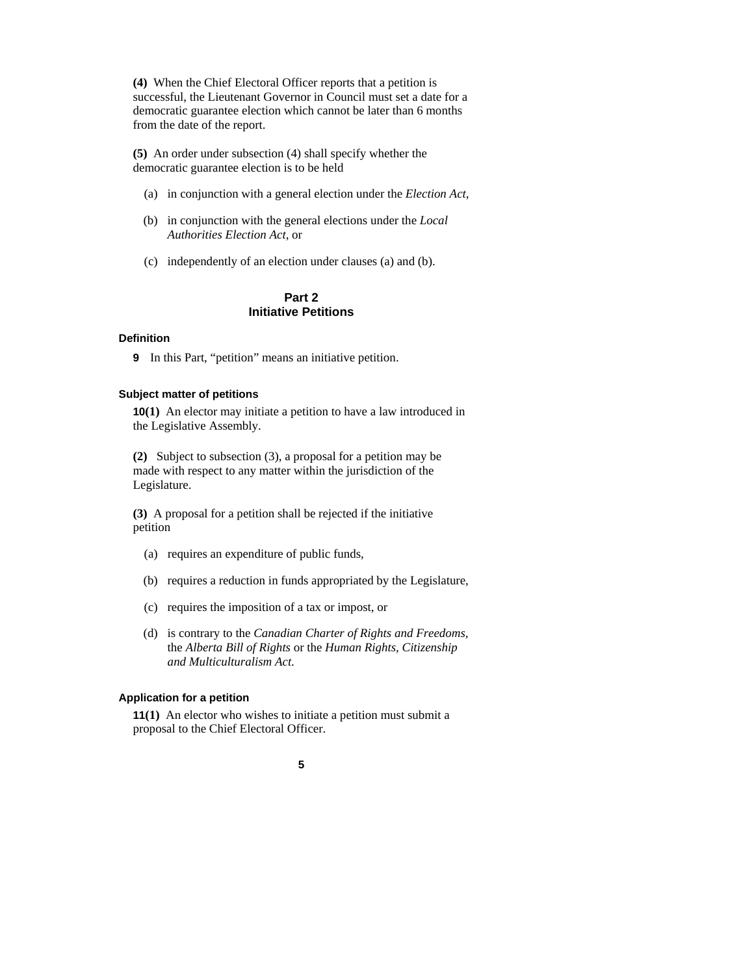**(4)** When the Chief Electoral Officer reports that a petition is successful, the Lieutenant Governor in Council must set a date for a democratic guarantee election which cannot be later than 6 months from the date of the report.

**(5)** An order under subsection (4) shall specify whether the democratic guarantee election is to be held

- (a) in conjunction with a general election under the *Election Act*,
- (b) in conjunction with the general elections under the *Local Authorities Election Act,* or
- (c) independently of an election under clauses (a) and (b).

## **Part 2 Initiative Petitions**

#### **Definition**

**9** In this Part, "petition" means an initiative petition.

## **Subject matter of petitions**

**10(1)** An elector may initiate a petition to have a law introduced in the Legislative Assembly.

**(2)** Subject to subsection (3), a proposal for a petition may be made with respect to any matter within the jurisdiction of the Legislature.

**(3)** A proposal for a petition shall be rejected if the initiative petition

- (a) requires an expenditure of public funds,
- (b) requires a reduction in funds appropriated by the Legislature,
- (c) requires the imposition of a tax or impost, or
- (d) is contrary to the *Canadian Charter of Rights and Freedoms,*  the *Alberta Bill of Rights* or the *Human Rights, Citizenship and Multiculturalism Act*.

## **Application for a petition**

**11(1)** An elector who wishes to initiate a petition must submit a proposal to the Chief Electoral Officer.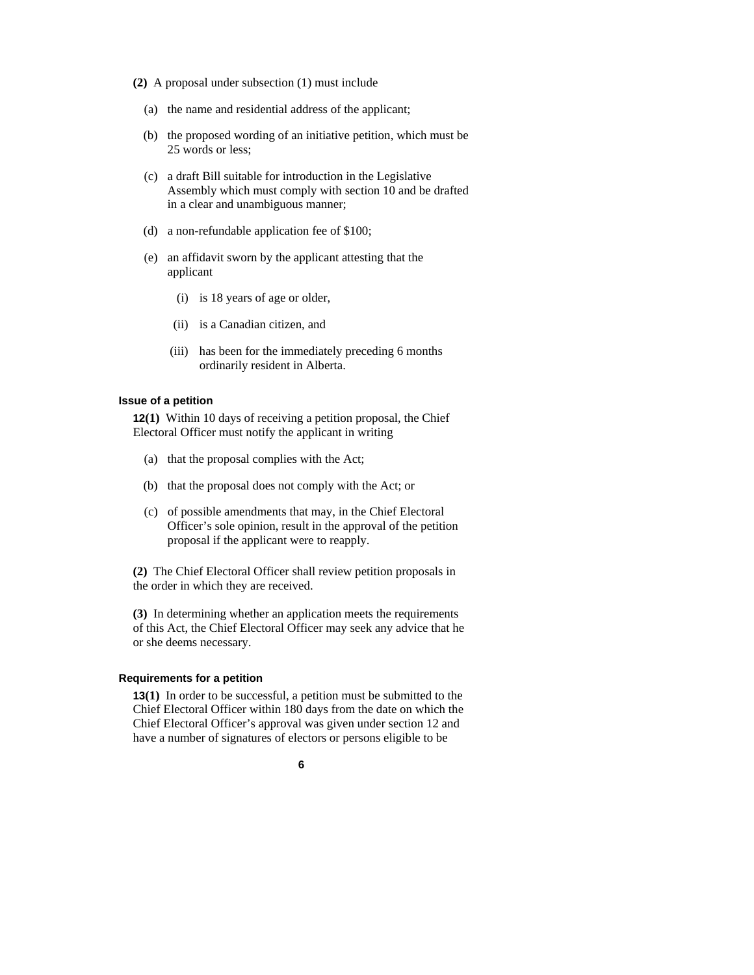- **(2)** A proposal under subsection (1) must include
	- (a) the name and residential address of the applicant;
	- (b) the proposed wording of an initiative petition, which must be 25 words or less;
	- (c) a draft Bill suitable for introduction in the Legislative Assembly which must comply with section 10 and be drafted in a clear and unambiguous manner;
	- (d) a non-refundable application fee of \$100;
	- (e) an affidavit sworn by the applicant attesting that the applicant
		- (i) is 18 years of age or older,
		- (ii) is a Canadian citizen, and
		- (iii) has been for the immediately preceding 6 months ordinarily resident in Alberta.

## **Issue of a petition**

**12(1)** Within 10 days of receiving a petition proposal, the Chief Electoral Officer must notify the applicant in writing

- (a) that the proposal complies with the Act;
- (b) that the proposal does not comply with the Act; or
- (c) of possible amendments that may, in the Chief Electoral Officer's sole opinion, result in the approval of the petition proposal if the applicant were to reapply.

**(2)** The Chief Electoral Officer shall review petition proposals in the order in which they are received.

**(3)** In determining whether an application meets the requirements of this Act, the Chief Electoral Officer may seek any advice that he or she deems necessary.

#### **Requirements for a petition**

**13(1)** In order to be successful, a petition must be submitted to the Chief Electoral Officer within 180 days from the date on which the Chief Electoral Officer's approval was given under section 12 and have a number of signatures of electors or persons eligible to be

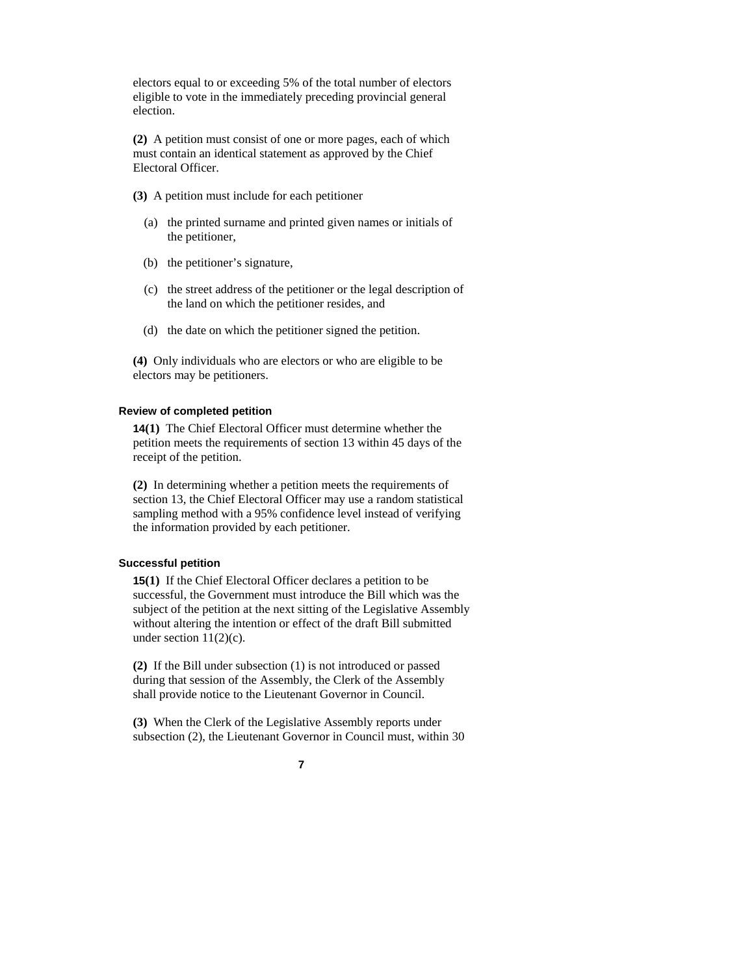electors equal to or exceeding 5% of the total number of electors eligible to vote in the immediately preceding provincial general election.

**(2)** A petition must consist of one or more pages, each of which must contain an identical statement as approved by the Chief Electoral Officer.

- **(3)** A petition must include for each petitioner
	- (a) the printed surname and printed given names or initials of the petitioner,
	- (b) the petitioner's signature,
	- (c) the street address of the petitioner or the legal description of the land on which the petitioner resides, and
	- (d) the date on which the petitioner signed the petition.

**(4)** Only individuals who are electors or who are eligible to be electors may be petitioners.

## **Review of completed petition**

**14(1)** The Chief Electoral Officer must determine whether the petition meets the requirements of section 13 within 45 days of the receipt of the petition.

**(2)** In determining whether a petition meets the requirements of section 13, the Chief Electoral Officer may use a random statistical sampling method with a 95% confidence level instead of verifying the information provided by each petitioner.

#### **Successful petition**

**15(1)** If the Chief Electoral Officer declares a petition to be successful, the Government must introduce the Bill which was the subject of the petition at the next sitting of the Legislative Assembly without altering the intention or effect of the draft Bill submitted under section  $11(2)(c)$ .

**(2)** If the Bill under subsection (1) is not introduced or passed during that session of the Assembly, the Clerk of the Assembly shall provide notice to the Lieutenant Governor in Council.

**(3)** When the Clerk of the Legislative Assembly reports under subsection (2), the Lieutenant Governor in Council must, within 30

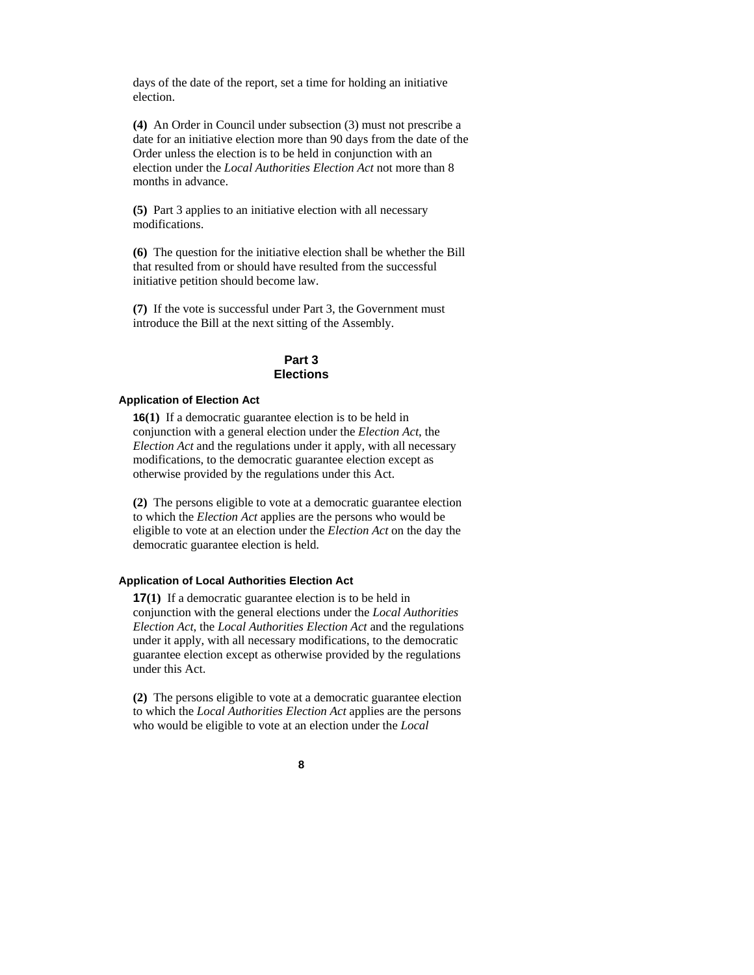days of the date of the report, set a time for holding an initiative election.

**(4)** An Order in Council under subsection (3) must not prescribe a date for an initiative election more than 90 days from the date of the Order unless the election is to be held in conjunction with an election under the *Local Authorities Election Act* not more than 8 months in advance.

**(5)** Part 3 applies to an initiative election with all necessary modifications.

**(6)** The question for the initiative election shall be whether the Bill that resulted from or should have resulted from the successful initiative petition should become law.

**(7)** If the vote is successful under Part 3, the Government must introduce the Bill at the next sitting of the Assembly.

## **Part 3 Elections**

## **Application of Election Act**

**16(1)** If a democratic guarantee election is to be held in conjunction with a general election under the *Election Act*, the *Election Act* and the regulations under it apply, with all necessary modifications, to the democratic guarantee election except as otherwise provided by the regulations under this Act.

**(2)** The persons eligible to vote at a democratic guarantee election to which the *Election Act* applies are the persons who would be eligible to vote at an election under the *Election Act* on the day the democratic guarantee election is held.

#### **Application of Local Authorities Election Act**

**17(1)** If a democratic guarantee election is to be held in conjunction with the general elections under the *Local Authorities Election Act*, the *Local Authorities Election Act* and the regulations under it apply, with all necessary modifications, to the democratic guarantee election except as otherwise provided by the regulations under this Act.

**(2)** The persons eligible to vote at a democratic guarantee election to which the *Local Authorities Election Act* applies are the persons who would be eligible to vote at an election under the *Local*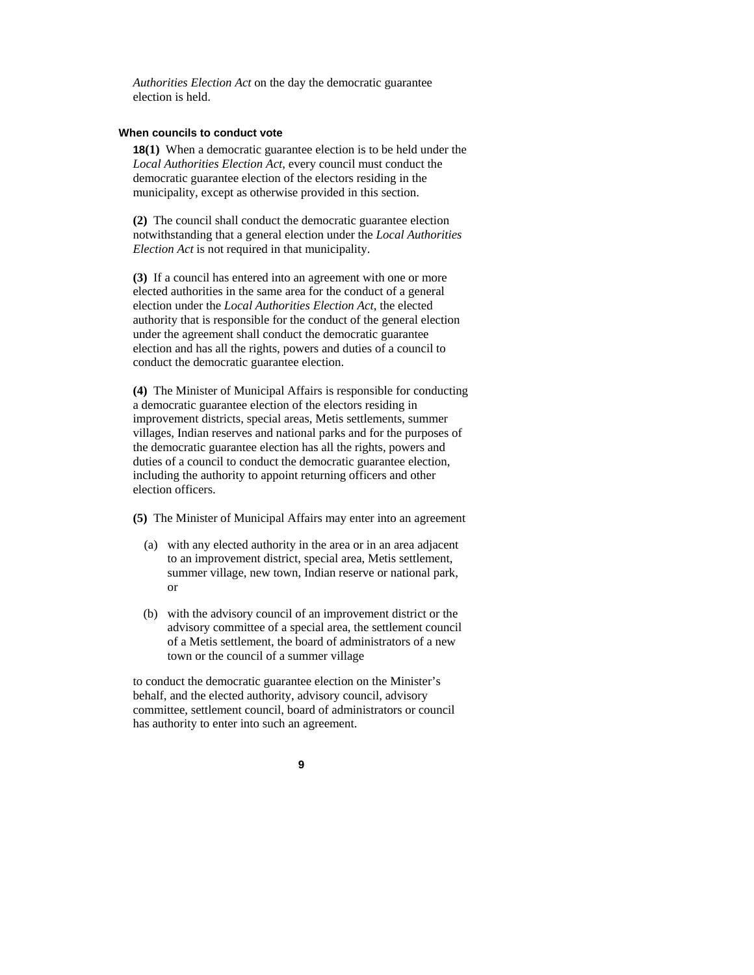*Authorities Election Act* on the day the democratic guarantee election is held.

#### **When councils to conduct vote**

**18(1)** When a democratic guarantee election is to be held under the *Local Authorities Election Act*, every council must conduct the democratic guarantee election of the electors residing in the municipality, except as otherwise provided in this section.

**(2)** The council shall conduct the democratic guarantee election notwithstanding that a general election under the *Local Authorities Election Act* is not required in that municipality.

**(3)** If a council has entered into an agreement with one or more elected authorities in the same area for the conduct of a general election under the *Local Authorities Election Act*, the elected authority that is responsible for the conduct of the general election under the agreement shall conduct the democratic guarantee election and has all the rights, powers and duties of a council to conduct the democratic guarantee election.

**(4)** The Minister of Municipal Affairs is responsible for conducting a democratic guarantee election of the electors residing in improvement districts, special areas, Metis settlements, summer villages, Indian reserves and national parks and for the purposes of the democratic guarantee election has all the rights, powers and duties of a council to conduct the democratic guarantee election, including the authority to appoint returning officers and other election officers.

**(5)** The Minister of Municipal Affairs may enter into an agreement

- (a) with any elected authority in the area or in an area adjacent to an improvement district, special area, Metis settlement, summer village, new town, Indian reserve or national park, or
- (b) with the advisory council of an improvement district or the advisory committee of a special area, the settlement council of a Metis settlement, the board of administrators of a new town or the council of a summer village

to conduct the democratic guarantee election on the Minister's behalf, and the elected authority, advisory council, advisory committee, settlement council, board of administrators or council has authority to enter into such an agreement.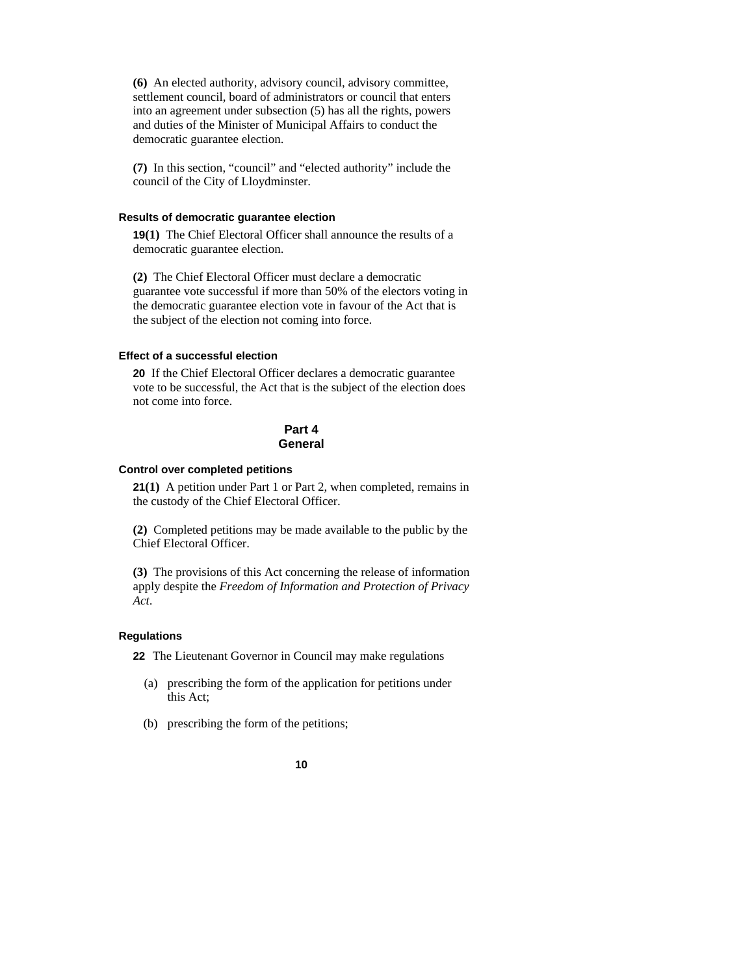**(6)** An elected authority, advisory council, advisory committee, settlement council, board of administrators or council that enters into an agreement under subsection (5) has all the rights, powers and duties of the Minister of Municipal Affairs to conduct the democratic guarantee election.

**(7)** In this section, "council" and "elected authority" include the council of the City of Lloydminster.

#### **Results of democratic guarantee election**

**19(1)** The Chief Electoral Officer shall announce the results of a democratic guarantee election.

**(2)** The Chief Electoral Officer must declare a democratic guarantee vote successful if more than 50% of the electors voting in the democratic guarantee election vote in favour of the Act that is the subject of the election not coming into force.

#### **Effect of a successful election**

**20** If the Chief Electoral Officer declares a democratic guarantee vote to be successful, the Act that is the subject of the election does not come into force.

## **Part 4 General**

#### **Control over completed petitions**

**21(1)** A petition under Part 1 or Part 2, when completed, remains in the custody of the Chief Electoral Officer.

**(2)** Completed petitions may be made available to the public by the Chief Electoral Officer.

**(3)** The provisions of this Act concerning the release of information apply despite the *Freedom of Information and Protection of Privacy Act*.

#### **Regulations**

**22** The Lieutenant Governor in Council may make regulations

- (a) prescribing the form of the application for petitions under this Act;
- (b) prescribing the form of the petitions;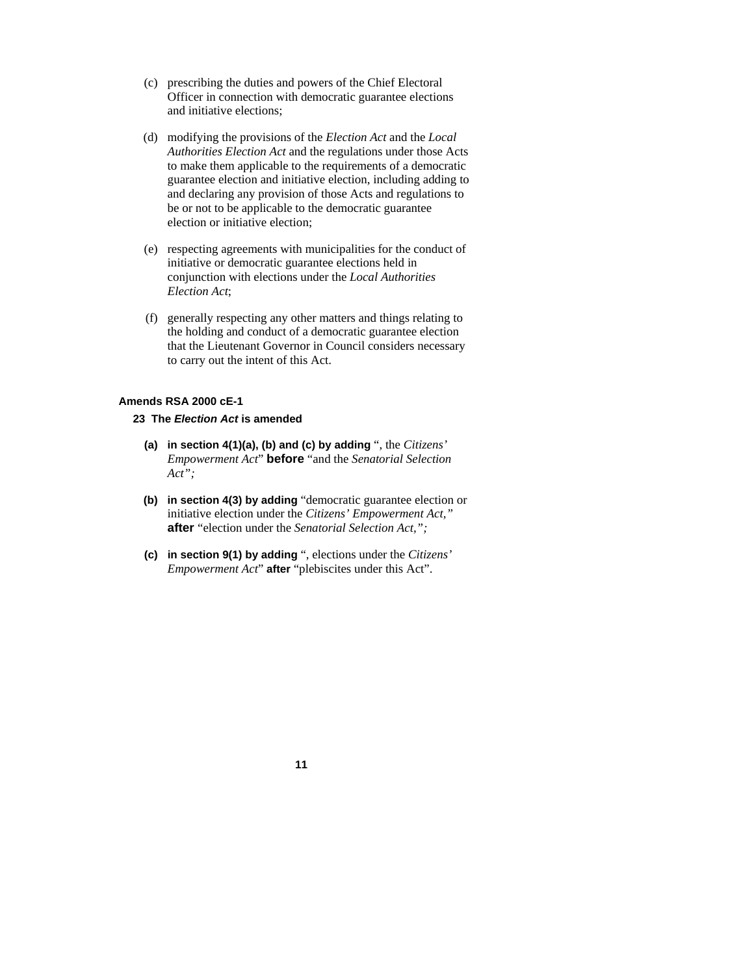- (c) prescribing the duties and powers of the Chief Electoral Officer in connection with democratic guarantee elections and initiative elections;
- (d) modifying the provisions of the *Election Act* and the *Local Authorities Election Act* and the regulations under those Acts to make them applicable to the requirements of a democratic guarantee election and initiative election, including adding to and declaring any provision of those Acts and regulations to be or not to be applicable to the democratic guarantee election or initiative election;
- (e) respecting agreements with municipalities for the conduct of initiative or democratic guarantee elections held in conjunction with elections under the *Local Authorities Election Act*;
- (f) generally respecting any other matters and things relating to the holding and conduct of a democratic guarantee election that the Lieutenant Governor in Council considers necessary to carry out the intent of this Act.

## **Amends RSA 2000 cE-1**

## **23 The** *Election Act* **is amended**

- **(a) in section 4(1)(a), (b) and (c) by adding** ", the *Citizens' Empowerment Act*" **before** "and the *Senatorial Selection Act";*
- **(b) in section 4(3) by adding** "democratic guarantee election or initiative election under the *Citizens' Empowerment Act,"*  **after** "election under the *Senatorial Selection Act,";*
- **(c) in section 9(1) by adding** ", elections under the *Citizens' Empowerment Act*" **after** "plebiscites under this Act".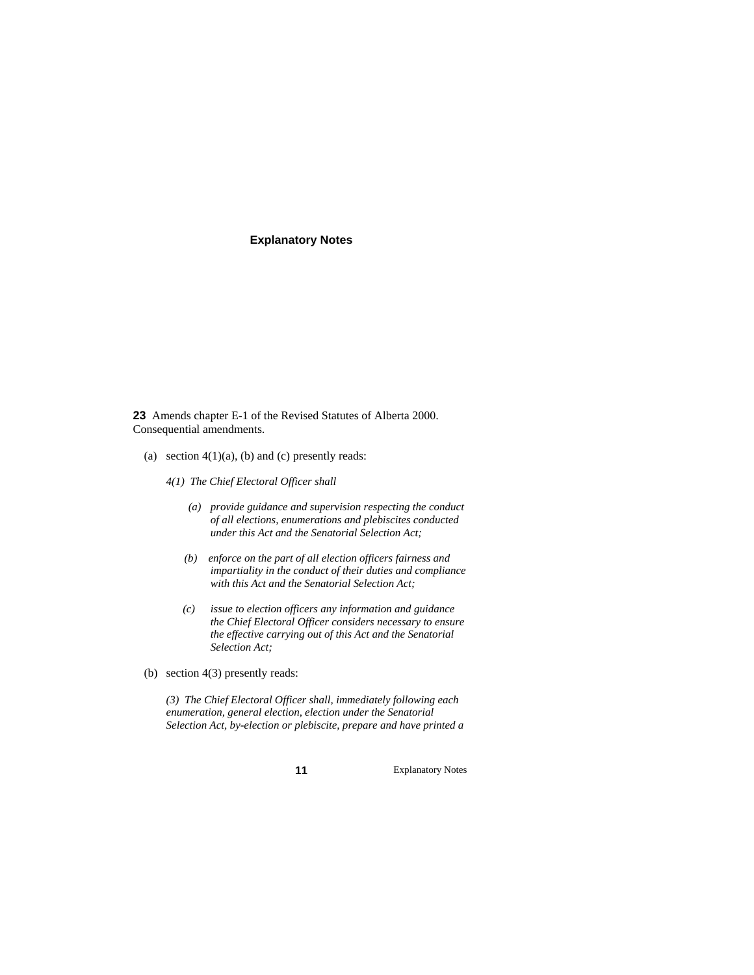## **Explanatory Notes**

**23** Amends chapter E-1 of the Revised Statutes of Alberta 2000. Consequential amendments.

- (a) section  $4(1)(a)$ , (b) and (c) presently reads:
	- *4(1) The Chief Electoral Officer shall* 
		- *(a) provide guidance and supervision respecting the conduct of all elections, enumerations and plebiscites conducted under this Act and the Senatorial Selection Act;*
		- *(b) enforce on the part of all election officers fairness and impartiality in the conduct of their duties and compliance with this Act and the Senatorial Selection Act;*
		- *(c) issue to election officers any information and guidance the Chief Electoral Officer considers necessary to ensure the effective carrying out of this Act and the Senatorial Selection Act;*
- (b) section 4(3) presently reads:

 *(3) The Chief Electoral Officer shall, immediately following each enumeration, general election, election under the Senatorial Selection Act, by-election or plebiscite, prepare and have printed a* 

**11** Explanatory Notes